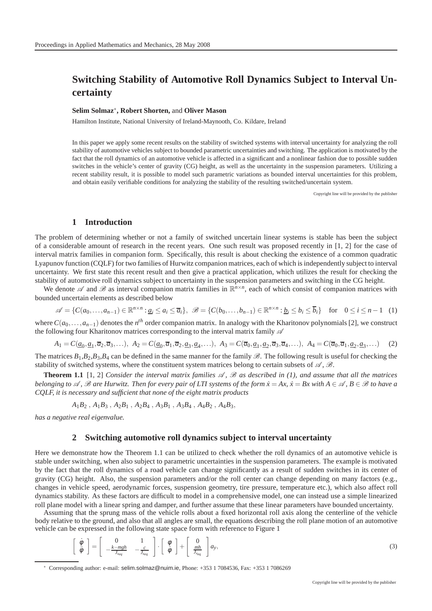# **Switching Stability of Automotive Roll Dynamics Subject to Interval Uncertainty**

## **Selim Solmaz**<sup>∗</sup> **, Robert Shorten,** and **Oliver Mason**

Hamilton Institute, National University of Ireland-Maynooth, Co. Kildare, Ireland

In this paper we apply some recent results on the stability of switched systems with interval uncertainty for analyzing the roll stability of automotive vehicles subject to bounded parametric uncertainties and switching. The application is motivated by the fact that the roll dynamics of an automotive vehicle is affected in a significant and a nonlinear fashion due to possible sudden switches in the vehicle's center of gravity (CG) height, as well as the uncertainty in the suspension parameters. Utilizing a recent stability result, it is possible to model such parametric variations as bounded interval uncertainties for this problem, and obtain easily verifiable conditions for analyzing the stability of the resulting switched/uncertain system.

Copyright line will be provided by the publisher

## **1 Introduction**

The problem of determining whether or not a family of switched uncertain linear systems is stable has been the subject of a considerable amount of research in the recent years. One such result was proposed recently in [1, 2] for the case of interval matrix families in companion form. Specifically, this result is about checking the existence of a common quadratic Lyapunov function (CQLF) for two families of Hurwitz companion matrices, each of which is independently subject to interval uncertainty. We first state this recent result and then give a practical application, which utilizes the result for checking the stability of automotive roll dynamics subject to uncertainty in the suspension parameters and switching in the CG height.

We denote  $\mathscr A$  and  $\mathscr B$  as interval companion matrix families in  $\mathbb R^{n\times n}$ , each of which consist of companion matrices with bounded uncertain elements as described below

$$
\mathscr{A} = \{C(a_0, \dots, a_{n-1}) \in \mathbb{R}^{n \times n} : \underline{a}_i \le a_i \le \overline{a}_i\}, \ \mathscr{B} = \{C(b_0, \dots, b_{n-1}) \in \mathbb{R}^{n \times n} : \underline{b}_i \le b_i \le \overline{b}_i\} \text{ for } 0 \le i \le n-1 \quad (1)
$$

where  $C(a_0, \ldots, a_{n-1})$  denotes the *n<sup>th</sup>* order companion matrix. In analogy with the Kharitonov polynomials [2], we construct the following four Kharitonov matrices corresponding to the interval matrix family  $\mathscr A$ 

$$
A_1 = C(\underline{a}_0, \underline{a}_1, \overline{a}_2, \overline{a}_3, \ldots), \ A_2 = C(\underline{a}_0, \overline{a}_1, \overline{a}_2, \underline{a}_3, \underline{a}_4, \ldots), \ A_3 = C(\overline{a}_0, \underline{a}_1, \underline{a}_2, \overline{a}_3, \overline{a}_4, \ldots), \ A_4 = C(\overline{a}_0, \overline{a}_1, \underline{a}_2, \underline{a}_3, \ldots)
$$
(2)

The matrices  $B_1$ ,  $B_2$ ,  $B_3$ ,  $B_4$  can be defined in the same manner for the family  $\mathscr B$ . The following result is useful for checking the stability of switched systems, where the constituent system matrices belong to certain subsets of  $\mathscr{A}, \mathscr{B}$ .

**Theorem 1.1** [1, 2] *Consider the interval matrix families*  $\mathcal{A}$ ,  $\mathcal{B}$  *as described in (1), and assume that all the matrices belonging to*  $\mathscr A$ ,  $\mathscr B$  are Hurwitz. Then for every pair of LTI systems of the form  $\dot x = Ax$ ,  $\dot x = Bx$  with  $A \in \mathscr A$ ,  $B \in \mathscr B$  to have a *CQLF, it is necessary and sufficient that none of the eight matrix products*

$$
A_1B_2
$$
,  $A_1B_3$ ,  $A_2B_1$ ,  $A_2B_4$ ,  $A_3B_1$ ,  $A_3B_4$ ,  $A_4B_2$ ,  $A_4B_3$ ,

*has a negative real eigenvalue.*

#### **2 Switching automotive roll dynamics subject to interval uncertainty**

Here we demonstrate how the Theorem 1.1 can be utilized to check whether the roll dynamics of an automotive vehicle is stable under switching, when also subject to parametric uncertainties in the suspension parameters. The example is motivated by the fact that the roll dynamics of a road vehicle can change significantly as a result of sudden switches in its center of gravity (CG) height. Also, the suspension parameters and/or the roll center can change depending on many factors (e.g., changes in vehicle speed, aerodynamic forces, suspension geometry, tire pressure, temperature etc.), which also affect roll dynamics stability. As these factors are difficult to model in a comprehensive model, one can instead use a simple linearized roll plane model with a linear spring and damper, and further assume that these linear parameters have bounded uncertainty.

Assuming that the sprung mass of the vehicle rolls about a fixed horizontal roll axis along the centerline of the vehicle body relative to the ground, and also that all angles are small, the equations describing the roll plane motion of an automotive vehicle can be expressed in the following state space form with reference to Figure 1

$$
\left[\begin{array}{c}\n\dot{\phi} \\
\ddot{\phi}\n\end{array}\right] = \left[\begin{array}{cc}\n0 & 1 \\
-\frac{k - mgh}{J_{x_{eq}}} & -\frac{c}{J_{x_{eq}}}\n\end{array}\right] \cdot \left[\begin{array}{c}\n\phi \\
\dot{\phi}\n\end{array}\right] + \left[\begin{array}{c}\n0 \\
\frac{mh}{J_{x_{eq}}}\n\end{array}\right] a_y,
$$
\n(3)

<sup>∗</sup> Corresponding author: e-mail: selim.solmaz@nuim.ie, Phone: +353 1 7084536, Fax: +353 1 7086269